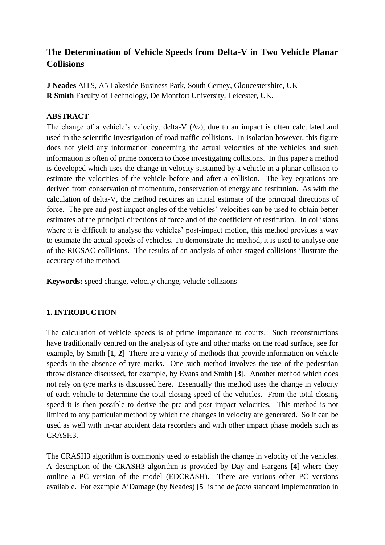# **The Determination of Vehicle Speeds from Delta-V in Two Vehicle Planar Collisions**

**J Neades** AiTS, A5 Lakeside Business Park, South Cerney, Gloucestershire, UK **R Smith** Faculty of Technology, De Montfort University, Leicester, UK.

### **ABSTRACT**

The change of a vehicle's velocity, delta-V  $(\Delta v)$ , due to an impact is often calculated and used in the scientific investigation of road traffic collisions. In isolation however, this figure does not yield any information concerning the actual velocities of the vehicles and such information is often of prime concern to those investigating collisions. In this paper a method is developed which uses the change in velocity sustained by a vehicle in a planar collision to estimate the velocities of the vehicle before and after a collision. The key equations are derived from conservation of momentum, conservation of energy and restitution. As with the calculation of delta-V, the method requires an initial estimate of the principal directions of force. The pre and post impact angles of the vehicles' velocities can be used to obtain better estimates of the principal directions of force and of the coefficient of restitution. In collisions where it is difficult to analyse the vehicles' post-impact motion, this method provides a way to estimate the actual speeds of vehicles. To demonstrate the method, it is used to analyse one of the RICSAC collisions. The results of an analysis of other staged collisions illustrate the accuracy of the method.

**Keywords:** speed change, velocity change, vehicle collisions

## **1. INTRODUCTION**

The calculation of vehicle speeds is of prime importance to courts. Such reconstructions have traditionally centred on the analysis of tyre and other marks on the road surface, see for example, by Smith [**1**, **2**] There are a variety of methods that provide information on vehicle speeds in the absence of tyre marks. One such method involves the use of the pedestrian throw distance discussed, for example, by Evans and Smith [**3**]. Another method which does not rely on tyre marks is discussed here. Essentially this method uses the change in velocity of each vehicle to determine the total closing speed of the vehicles. From the total closing speed it is then possible to derive the pre and post impact velocities. This method is not limited to any particular method by which the changes in velocity are generated. So it can be used as well with in-car accident data recorders and with other impact phase models such as CRASH3.

The CRASH3 algorithm is commonly used to establish the change in velocity of the vehicles. A description of the CRASH3 algorithm is provided by Day and Hargens [**4**] where they outline a PC version of the model (EDCRASH). There are various other PC versions available. For example AiDamage (by Neades) [**5**] is the *de facto* standard implementation in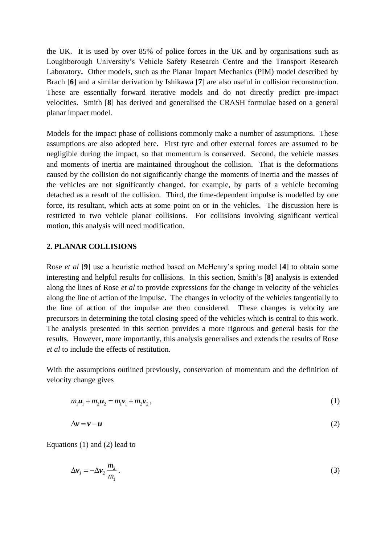the UK. It is used by over 85% of police forces in the UK and by organisations such as Loughborough University's Vehicle Safety Research Centre and the Transport Research Laboratory**.** Other models, such as the Planar Impact Mechanics (PIM) model described by Brach [**6**] and a similar derivation by Ishikawa [**7**] are also useful in collision reconstruction. These are essentially forward iterative models and do not directly predict pre-impact velocities. Smith [**8**] has derived and generalised the CRASH formulae based on a general planar impact model.

Models for the impact phase of collisions commonly make a number of assumptions. These assumptions are also adopted here. First tyre and other external forces are assumed to be negligible during the impact, so that momentum is conserved. Second, the vehicle masses and moments of inertia are maintained throughout the collision. That is the deformations caused by the collision do not significantly change the moments of inertia and the masses of the vehicles are not significantly changed, for example, by parts of a vehicle becoming detached as a result of the collision. Third, the time-dependent impulse is modelled by one force, its resultant, which acts at some point on or in the vehicles. The discussion here is restricted to two vehicle planar collisions. For collisions involving significant vertical motion, this analysis will need modification.

#### **2. PLANAR COLLISIONS**

Rose *et al* [**9**] use a heuristic method based on McHenry's spring model [**4**] to obtain some interesting and helpful results for collisions. In this section, Smith's [**8**] analysis is extended along the lines of Rose *et al* to provide expressions for the change in velocity of the vehicles along the line of action of the impulse. The changes in velocity of the vehicles tangentially to the line of action of the impulse are then considered. These changes is velocity are precursors in determining the total closing speed of the vehicles which is central to this work. The analysis presented in this section provides a more rigorous and general basis for the results. However, more importantly, this analysis generalises and extends the results of Rose *et al* to include the effects of restitution.

With the assumptions outlined previously, conservation of momentum and the definition of velocity change gives

$$
m_1u_1 + m_2u_2 = m_1v_1 + m_2v_2, \qquad (1)
$$

$$
\Delta v = v - u \tag{2}
$$

Equations (1) and (2) lead to

$$
\Delta \mathbf{v}_1 = -\Delta \mathbf{v}_2 \frac{m_2}{m_1} \,. \tag{3}
$$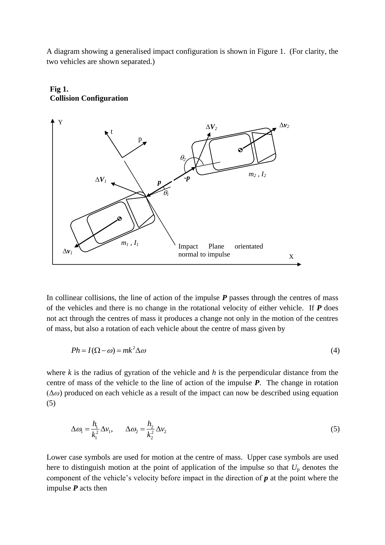A diagram showing a generalised impact configuration is shown in Figure 1. (For clarity, the two vehicles are shown separated.)



### **Fig 1. Collision Configuration**

In collinear collisions, the line of action of the impulse *P* passes through the centres of mass of the vehicles and there is no change in the rotational velocity of either vehicle. If *P* does not act through the centres of mass it produces a change not only in the motion of the centres of mass, but also a rotation of each vehicle about the centre of mass given by

$$
Ph = I(\Omega - \omega) = mk^2 \Delta \omega \tag{4}
$$

where *k* is the radius of gyration of the vehicle and *h* is the perpendicular distance from the centre of mass of the vehicle to the line of action of the impulse *P*. The change in rotation  $(\Delta \omega)$  produced on each vehicle as a result of the impact can now be described using equation (5)

$$
\Delta \omega_1 = \frac{h_1}{k_1^2} \Delta v_1, \qquad \Delta \omega_2 = \frac{h_2}{k_2^2} \Delta v_2 \tag{5}
$$

Lower case symbols are used for motion at the centre of mass. Upper case symbols are used here to distinguish motion at the point of application of the impulse so that *U*<sup>p</sup> denotes the component of the vehicle's velocity before impact in the direction of *p* at the point where the impulse *P* acts then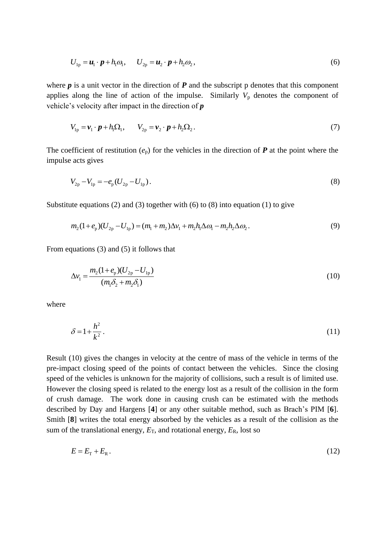$$
U_{1p} = \boldsymbol{u}_1 \cdot \boldsymbol{p} + h_1 \omega_1, \qquad U_{2p} = \boldsymbol{u}_2 \cdot \boldsymbol{p} + h_2 \omega_2,
$$
\n<sup>(6)</sup>

where  $p$  is a unit vector in the direction of  $P$  and the subscript p denotes that this component applies along the line of action of the impulse. Similarly  $V_p$  denotes the component of vehicle's velocity after impact in the direction of *p*

$$
V_{1p} = \boldsymbol{v}_1 \cdot \boldsymbol{p} + h_1 \Omega_1, \qquad V_{2p} = \boldsymbol{v}_2 \cdot \boldsymbol{p} + h_2 \Omega_2.
$$
 (7)

The coefficient of restitution  $(e_p)$  for the vehicles in the direction of  $P$  at the point where the impulse acts gives

$$
V_{2p} - V_{1p} = -e_p (U_{2p} - U_{1p}).
$$
\n(8)

Substitute equations (2) and (3) together with (6) to (8) into equation (1) to give  
\n
$$
m_2(1+e_p)(U_{2p}-U_{1p}) = (m_1+m_2)\Delta v_1 + m_2h_1\Delta\omega_1 - m_2h_2\Delta\omega_2.
$$
\n(9)

From equations (3) and (5) it follows that

$$
\Delta v_1 = \frac{m_2 (1 + e_{\rm p}) (U_{2{\rm p}} - U_{1{\rm p}})}{(m_1 \delta_2 + m_2 \delta_1)}
$$
(10)

where

$$
\delta = 1 + \frac{h^2}{k^2} \,. \tag{11}
$$

Result (10) gives the changes in velocity at the centre of mass of the vehicle in terms of the pre-impact closing speed of the points of contact between the vehicles. Since the closing speed of the vehicles is unknown for the majority of collisions, such a result is of limited use. However the closing speed is related to the energy lost as a result of the collision in the form of crush damage. The work done in causing crush can be estimated with the methods described by Day and Hargens [**4**] or any other suitable method, such as Brach's PIM [**6**]. Smith [**8**] writes the total energy absorbed by the vehicles as a result of the collision as the sum of the translational energy,  $E_T$ , and rotational energy,  $E_R$ , lost so

$$
E = E_{\rm T} + E_{\rm R} \,. \tag{12}
$$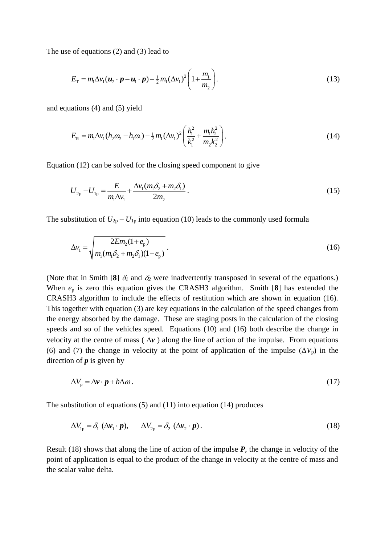The use of equations (2) and (3) lead to

$$
E_{\rm T} = m_{\rm 1} \Delta v_{\rm 1} (\boldsymbol{u}_{2} \cdot \boldsymbol{p} - \boldsymbol{u}_{\rm 1} \cdot \boldsymbol{p}) - \frac{1}{2} m_{\rm 1} (\Delta v_{\rm 1})^{2} \left( 1 + \frac{m_{\rm 1}}{m_{\rm 2}} \right).
$$
 (13)

and equations (4) and (5) yield

$$
E_{\rm R} = m_{\rm I} \Delta v_1 (h_2 \omega_2 - h_{\rm I} \omega_1) - \frac{1}{2} m_{\rm I} (\Delta v_1)^2 \left( \frac{h_1^2}{k_1^2} + \frac{m_{\rm I} h_2^2}{m_2 k_2^2} \right).
$$
 (14)

Equation (12) can be solved for the closing speed component to give

$$
U_{2p} - U_{1p} = \frac{E}{m_1 \Delta v_1} + \frac{\Delta v_1 (m_1 \delta_2 + m_2 \delta_1)}{2m_2}.
$$
 (15)

The substitution of  $U_{2p} - U_{1p}$  into equation (10) leads to the commonly used formula

$$
\Delta v_1 = \sqrt{\frac{2Em_2(1+e_{\rm p})}{m_1(m_1\delta_2 + m_2\delta_1)(1-e_{\rm p})}}.
$$
\n(16)

(Note that in Smith [8]  $\delta_1$  and  $\delta_2$  were inadvertently transposed in several of the equations.) When *e*<sup>p</sup> is zero this equation gives the CRASH3 algorithm. Smith [**8**] has extended the CRASH3 algorithm to include the effects of restitution which are shown in equation (16). This together with equation (3) are key equations in the calculation of the speed changes from the energy absorbed by the damage. These are staging posts in the calculation of the closing speeds and so of the vehicles speed. Equations (10) and (16) both describe the change in velocity at the centre of mass ( $\Delta v$ ) along the line of action of the impulse. From equations (6) and (7) the change in velocity at the point of application of the impulse  $(\Delta V_p)$  in the direction of *p* is given by

$$
\Delta V_{\rm p} = \Delta \mathbf{v} \cdot \mathbf{p} + h \Delta \omega. \tag{17}
$$

The substitution of equations (5) and (11) into equation (14) produces

$$
\Delta V_{\text{lp}} = \delta_{1} (\Delta \mathbf{v}_{1} \cdot \mathbf{p}), \qquad \Delta V_{\text{2p}} = \delta_{2} (\Delta \mathbf{v}_{2} \cdot \mathbf{p}). \qquad (18)
$$

Result (18) shows that along the line of action of the impulse *P*, the change in velocity of the point of application is equal to the product of the change in velocity at the centre of mass and the scalar value delta.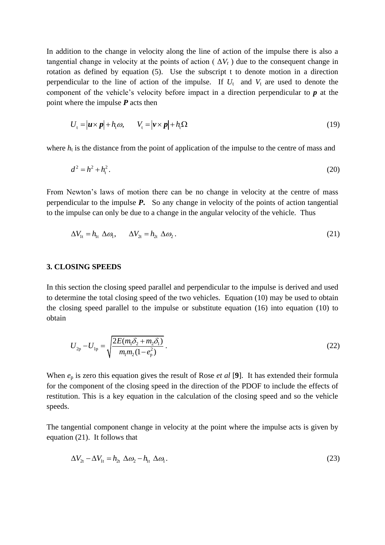In addition to the change in velocity along the line of action of the impulse there is also a tangential change in velocity at the points of action ( $\Delta V_t$ ) due to the consequent change in rotation as defined by equation (5). Use the subscript t to denote motion in a direction perpendicular to the line of action of the impulse. If  $U_t$  and  $V_t$  are used to denote the component of the vehicle's velocity before impact in a direction perpendicular to *p* at the point where the impulse *P* acts then

$$
U_{t} = |\boldsymbol{u} \times \boldsymbol{p}| + h_{t} \omega, \qquad V_{t} = |\boldsymbol{v} \times \boldsymbol{p}| + h_{t} \Omega \tag{19}
$$

where  $h_t$  is the distance from the point of application of the impulse to the centre of mass and

$$
d^2 = h^2 + h_t^2. \tag{20}
$$

From Newton's laws of motion there can be no change in velocity at the centre of mass perpendicular to the impulse *P***.** So any change in velocity of the points of action tangential to the impulse can only be due to a change in the angular velocity of the vehicle. Thus

$$
\Delta V_{1t} = h_{1t} \Delta \omega_1, \qquad \Delta V_{2t} = h_{2t} \Delta \omega_2.
$$
 (21)

#### **3. CLOSING SPEEDS**

In this section the closing speed parallel and perpendicular to the impulse is derived and used to determine the total closing speed of the two vehicles. Equation (10) may be used to obtain the closing speed parallel to the impulse or substitute equation (16) into equation (10) to obtain

$$
U_{2p} - U_{1p} = \sqrt{\frac{2E(m_1\delta_2 + m_2\delta_1)}{m_1m_2(1 - e_p^2)}}.
$$
\n(22)

When *e*<sup>p</sup> is zero this equation gives the result of Rose *et al* [**9**]. It has extended their formula for the component of the closing speed in the direction of the PDOF to include the effects of restitution. This is a key equation in the calculation of the closing speed and so the vehicle speeds.

The tangential component change in velocity at the point where the impulse acts is given by equation (21). It follows that

$$
\Delta V_{2t} - \Delta V_{1t} = h_{2t} \ \Delta \omega_2 - h_{1t} \ \Delta \omega_1. \tag{23}
$$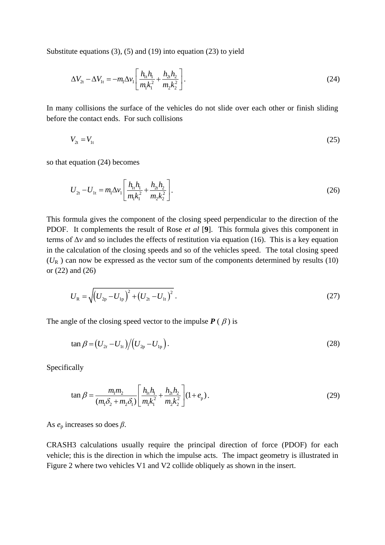Substitute equations (3), (5) and (19) into equation (23) to yield

$$
\Delta V_{2t} - \Delta V_{1t} = -m_1 \Delta v_1 \left[ \frac{h_{1t} h_1}{m_1 k_1^2} + \frac{h_{2t} h_2}{m_2 k_2^2} \right].
$$
\n(24)

In many collisions the surface of the vehicles do not slide over each other or finish sliding before the contact ends. For such collisions

$$
V_{2t} = V_{1t} \tag{25}
$$

so that equation (24) becomes

$$
U_{2t} - U_{1t} = m_1 \Delta v_1 \left[ \frac{h_{1t} h_1}{m_1 k_1^2} + \frac{h_{2t} h_2}{m_2 k_2^2} \right].
$$
 (26)

This formula gives the component of the closing speed perpendicular to the direction of the PDOF. It complements the result of Rose *et al* [**9**]. This formula gives this component in terms of  $\Delta v$  and so includes the effects of restitution via equation (16). This is a key equation in the calculation of the closing speeds and so of the vehicles speed.The total closing speed  $(U_R)$  can now be expressed as the vector sum of the components determined by results (10) or (22) and (26)

$$
U_{\rm R} = \sqrt{\left(U_{\rm 2p} - U_{\rm 1p}\right)^2 + \left(U_{\rm 2t} - U_{\rm 1t}\right)^2} \,. \tag{27}
$$

The angle of the closing speed vector to the impulse  $P(\beta)$  is

$$
\tan \beta = (U_{2t} - U_{1t}) / (U_{2p} - U_{1p}). \tag{28}
$$

Specifically

$$
\tan \beta = \frac{m_1 m_2}{(m_1 \delta_2 + m_2 \delta_1)} \left[ \frac{h_{11} h_1}{m_1 k_1^2} + \frac{h_{21} h_2}{m_2 k_2^2} \right] (1 + e_p). \tag{29}
$$

As *e*<sup>p</sup> increases so does *β*.

CRASH3 calculations usually require the principal direction of force (PDOF) for each vehicle; this is the direction in which the impulse acts. The impact geometry is illustrated in Figure 2 where two vehicles V1 and V2 collide obliquely as shown in the insert.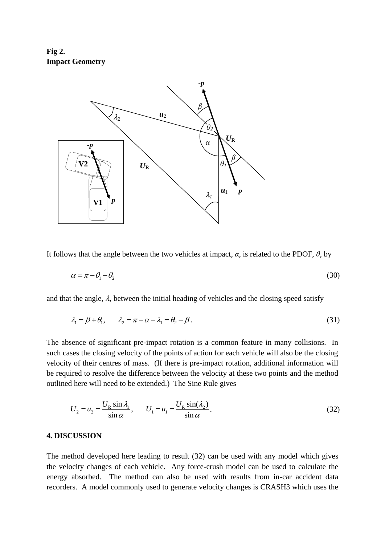**Fig 2. Impact Geometry**



It follows that the angle between the two vehicles at impact,  $\alpha$ , is related to the PDOF,  $\theta$ , by

$$
\alpha = \pi - \theta_1 - \theta_2 \tag{30}
$$

and that the angle,  $\lambda$ , between the initial heading of vehicles and the closing speed satisfy

$$
\lambda_1 = \beta + \theta_1, \qquad \lambda_2 = \pi - \alpha - \lambda_1 = \theta_2 - \beta. \tag{31}
$$

The absence of significant pre-impact rotation is a common feature in many collisions. In such cases the closing velocity of the points of action for each vehicle will also be the closing velocity of their centres of mass. (If there is pre-impact rotation, additional information will be required to resolve the difference between the velocity at these two points and the method outlined here will need to be extended.) The Sine Rule gives

$$
U_2 = u_2 = \frac{U_R \sin \lambda_1}{\sin \alpha}, \qquad U_1 = u_1 = \frac{U_R \sin(\lambda_2)}{\sin \alpha}.
$$
 (32)

#### **4. DISCUSSION**

The method developed here leading to result (32) can be used with any model which gives the velocity changes of each vehicle. Any force-crush model can be used to calculate the energy absorbed. The method can also be used with results from in-car accident data recorders. A model commonly used to generate velocity changes is CRASH3 which uses the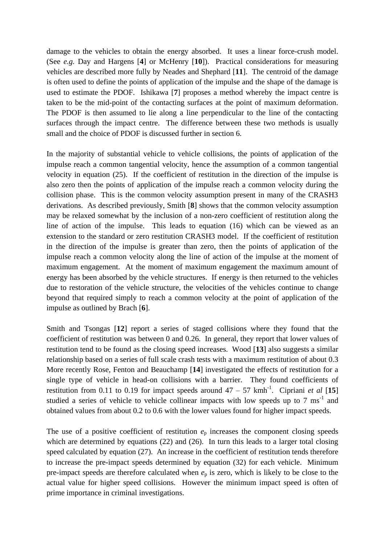damage to the vehicles to obtain the energy absorbed. It uses a linear force-crush model. (See *e.g.* Day and Hargens [**4**] or McHenry [**10**]). Practical considerations for measuring vehicles are described more fully by Neades and Shephard [**11**]. The centroid of the damage is often used to define the points of application of the impulse and the shape of the damage is used to estimate the PDOF. Ishikawa [**7**] proposes a method whereby the impact centre is taken to be the mid-point of the contacting surfaces at the point of maximum deformation. The PDOF is then assumed to lie along a line perpendicular to the line of the contacting surfaces through the impact centre. The difference between these two methods is usually small and the choice of PDOF is discussed further in section 6.

In the majority of substantial vehicle to vehicle collisions, the points of application of the impulse reach a common tangential velocity, hence the assumption of a common tangential velocity in equation (25). If the coefficient of restitution in the direction of the impulse is also zero then the points of application of the impulse reach a common velocity during the collision phase. This is the common velocity assumption present in many of the CRASH3 derivations. As described previously, Smith [**8**] shows that the common velocity assumption may be relaxed somewhat by the inclusion of a non-zero coefficient of restitution along the line of action of the impulse. This leads to equation (16) which can be viewed as an extension to the standard or zero restitution CRASH3 model. If the coefficient of restitution in the direction of the impulse is greater than zero, then the points of application of the impulse reach a common velocity along the line of action of the impulse at the moment of maximum engagement. At the moment of maximum engagement the maximum amount of energy has been absorbed by the vehicle structures. If energy is then returned to the vehicles due to restoration of the vehicle structure, the velocities of the vehicles continue to change beyond that required simply to reach a common velocity at the point of application of the impulse as outlined by Brach [**6**].

Smith and Tsongas [**12**] report a series of staged collisions where they found that the coefficient of restitution was between 0 and 0.26. In general, they report that lower values of restitution tend to be found as the closing speed increases. Wood [**13**] also suggests a similar relationship based on a series of full scale crash tests with a maximum restitution of about 0.3 More recently Rose, Fenton and Beauchamp [**14**] investigated the effects of restitution for a single type of vehicle in head-on collisions with a barrier. They found coefficients of restitution from 0.11 to 0.19 for impact speeds around  $47 - 57$  kmh<sup>-1</sup>. Cipriani *et al* [15] studied a series of vehicle to vehicle collinear impacts with low speeds up to  $7 \text{ ms}^{-1}$  and obtained values from about 0.2 to 0.6 with the lower values found for higher impact speeds.

The use of a positive coefficient of restitution  $e_p$  increases the component closing speeds which are determined by equations (22) and (26). In turn this leads to a larger total closing speed calculated by equation (27). An increase in the coefficient of restitution tends therefore to increase the pre-impact speeds determined by equation (32) for each vehicle. Minimum pre-impact speeds are therefore calculated when  $e_p$  is zero, which is likely to be close to the actual value for higher speed collisions. However the minimum impact speed is often of prime importance in criminal investigations.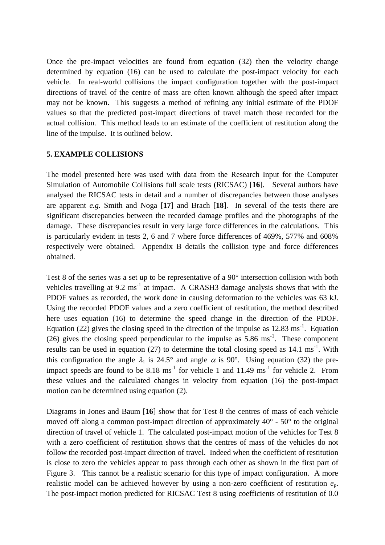Once the pre-impact velocities are found from equation (32) then the velocity change determined by equation (16) can be used to calculate the post-impact velocity for each vehicle. In real-world collisions the impact configuration together with the post-impact directions of travel of the centre of mass are often known although the speed after impact may not be known. This suggests a method of refining any initial estimate of the PDOF values so that the predicted post-impact directions of travel match those recorded for the actual collision. This method leads to an estimate of the coefficient of restitution along the line of the impulse. It is outlined below.

#### **5. EXAMPLE COLLISIONS**

The model presented here was used with data from the Research Input for the Computer Simulation of Automobile Collisions full scale tests (RICSAC) [**16**]. Several authors have analysed the RICSAC tests in detail and a number of discrepancies between those analyses are apparent *e.g.* Smith and Noga [**17**] and Brach [**18**]. In several of the tests there are significant discrepancies between the recorded damage profiles and the photographs of the damage. These discrepancies result in very large force differences in the calculations. This is particularly evident in tests 2, 6 and 7 where force differences of 469%, 577% and 608% respectively were obtained. Appendix B details the collision type and force differences obtained.

Test 8 of the series was a set up to be representative of a 90° intersection collision with both vehicles travelling at  $9.2 \text{ ms}^{-1}$  at impact. A CRASH3 damage analysis shows that with the PDOF values as recorded, the work done in causing deformation to the vehicles was 63 kJ. Using the recorded PDOF values and a zero coefficient of restitution, the method described here uses equation (16) to determine the speed change in the direction of the PDOF. Equation (22) gives the closing speed in the direction of the impulse as  $12.83 \text{ ms}^{-1}$ . Equation (26) gives the closing speed perpendicular to the impulse as  $5.86 \text{ ms}^{-1}$ . These component results can be used in equation  $(27)$  to determine the total closing speed as 14.1 ms<sup>-1</sup>. With this configuration the angle  $\lambda_1$  is 24.5° and angle  $\alpha$  is 90°. Using equation (32) the preimpact speeds are found to be  $8.18 \text{ ms}^{-1}$  for vehicle 1 and 11.49 ms<sup>-1</sup> for vehicle 2. From these values and the calculated changes in velocity from equation (16) the post-impact motion can be determined using equation (2).

Diagrams in Jones and Baum [**16**] show that for Test 8 the centres of mass of each vehicle moved off along a common post-impact direction of approximately 40° - 50° to the original direction of travel of vehicle 1. The calculated post-impact motion of the vehicles for Test 8 with a zero coefficient of restitution shows that the centres of mass of the vehicles do not follow the recorded post-impact direction of travel. Indeed when the coefficient of restitution is close to zero the vehicles appear to pass through each other as shown in the first part of Figure 3. This cannot be a realistic scenario for this type of impact configuration. A more realistic model can be achieved however by using a non-zero coefficient of restitution *e*p. The post-impact motion predicted for RICSAC Test 8 using coefficients of restitution of 0.0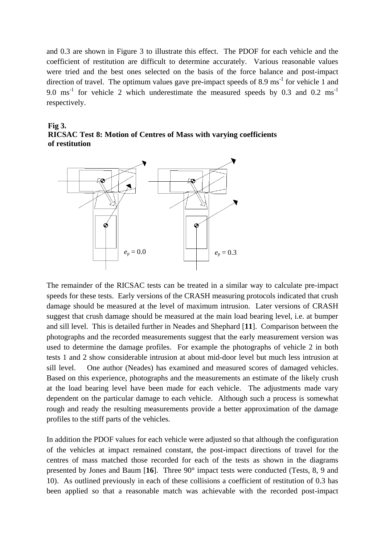and 0.3 are shown in Figure 3 to illustrate this effect. The PDOF for each vehicle and the coefficient of restitution are difficult to determine accurately. Various reasonable values were tried and the best ones selected on the basis of the force balance and post-impact direction of travel. The optimum values gave pre-impact speeds of 8.9  $\text{ms}^{-1}$  for vehicle 1 and 9.0 ms<sup>-1</sup> for vehicle 2 which underestimate the measured speeds by 0.3 and 0.2 ms<sup>-1</sup> respectively.

### **Fig 3. RICSAC Test 8: Motion of Centres of Mass with varying coefficients of restitution**



The remainder of the RICSAC tests can be treated in a similar way to calculate pre-impact speeds for these tests. Early versions of the CRASH measuring protocols indicated that crush damage should be measured at the level of maximum intrusion. Later versions of CRASH suggest that crush damage should be measured at the main load bearing level, i.e. at bumper and sill level. This is detailed further in Neades and Shephard [**11**]. Comparison between the photographs and the recorded measurements suggest that the early measurement version was used to determine the damage profiles. For example the photographs of vehicle 2 in both tests 1 and 2 show considerable intrusion at about mid-door level but much less intrusion at sill level. One author (Neades) has examined and measured scores of damaged vehicles. Based on this experience, photographs and the measurements an estimate of the likely crush at the load bearing level have been made for each vehicle. The adjustments made vary dependent on the particular damage to each vehicle. Although such a process is somewhat rough and ready the resulting measurements provide a better approximation of the damage profiles to the stiff parts of the vehicles.

In addition the PDOF values for each vehicle were adjusted so that although the configuration of the vehicles at impact remained constant, the post-impact directions of travel for the centres of mass matched those recorded for each of the tests as shown in the diagrams presented by Jones and Baum [**16**]. Three 90° impact tests were conducted (Tests, 8, 9 and 10). As outlined previously in each of these collisions a coefficient of restitution of 0.3 has been applied so that a reasonable match was achievable with the recorded post-impact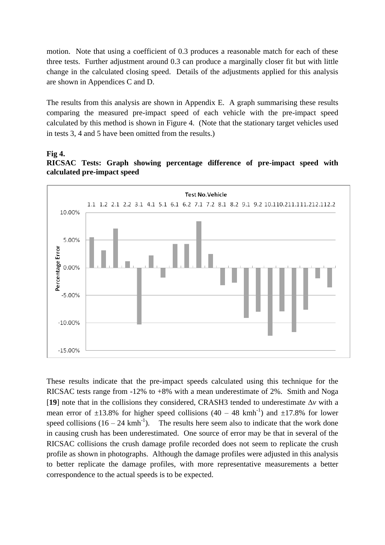motion. Note that using a coefficient of 0.3 produces a reasonable match for each of these three tests. Further adjustment around 0.3 can produce a marginally closer fit but with little change in the calculated closing speed. Details of the adjustments applied for this analysis are shown in Appendices C and D.

The results from this analysis are shown in Appendix E. A graph summarising these results comparing the measured pre-impact speed of each vehicle with the pre-impact speed calculated by this method is shown in Figure 4. (Note that the stationary target vehicles used in tests 3, 4 and 5 have been omitted from the results.)

#### **Fig 4. RICSAC Tests: Graph showing percentage difference of pre-impact speed with calculated pre-impact speed**



These results indicate that the pre-impact speeds calculated using this technique for the RICSAC tests range from -12% to +8% with a mean underestimate of 2%. Smith and Noga [19] note that in the collisions they considered, CRASH3 tended to underestimate  $\Delta v$  with a mean error of  $\pm 13.8\%$  for higher speed collisions (40 – 48 kmh<sup>-1</sup>) and  $\pm 17.8\%$  for lower speed collisions  $(16 - 24 \text{ kmh}^{-1})$ . ). The results here seem also to indicate that the work done in causing crush has been underestimated. One source of error may be that in several of the RICSAC collisions the crush damage profile recorded does not seem to replicate the crush profile as shown in photographs. Although the damage profiles were adjusted in this analysis to better replicate the damage profiles, with more representative measurements a better correspondence to the actual speeds is to be expected.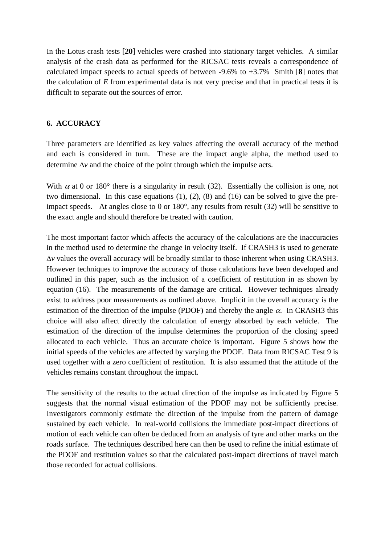In the Lotus crash tests [**20**] vehicles were crashed into stationary target vehicles. A similar analysis of the crash data as performed for the RICSAC tests reveals a correspondence of calculated impact speeds to actual speeds of between -9.6% to +3.7% Smith [**8**] notes that the calculation of *E* from experimental data is not very precise and that in practical tests it is difficult to separate out the sources of error.

#### **6. ACCURACY**

Three parameters are identified as key values affecting the overall accuracy of the method and each is considered in turn. These are the impact angle alpha, the method used to determine  $\Delta v$  and the choice of the point through which the impulse acts.

With  $\alpha$  at 0 or 180° there is a singularity in result (32). Essentially the collision is one, not two dimensional. In this case equations (1), (2), (8) and (16) can be solved to give the preimpact speeds. At angles close to 0 or  $180^\circ$ , any results from result (32) will be sensitive to the exact angle and should therefore be treated with caution.

The most important factor which affects the accuracy of the calculations are the inaccuracies in the method used to determine the change in velocity itself. If CRASH3 is used to generate *v* values the overall accuracy will be broadly similar to those inherent when using CRASH3. However techniques to improve the accuracy of those calculations have been developed and outlined in this paper, such as the inclusion of a coefficient of restitution in as shown by equation (16). The measurements of the damage are critical. However techniques already exist to address poor measurements as outlined above. Implicit in the overall accuracy is the estimation of the direction of the impulse (PDOF) and thereby the angle  $\alpha$ . In CRASH3 this choice will also affect directly the calculation of energy absorbed by each vehicle. The estimation of the direction of the impulse determines the proportion of the closing speed allocated to each vehicle. Thus an accurate choice is important. Figure 5 shows how the initial speeds of the vehicles are affected by varying the PDOF. Data from RICSAC Test 9 is used together with a zero coefficient of restitution. It is also assumed that the attitude of the vehicles remains constant throughout the impact.

The sensitivity of the results to the actual direction of the impulse as indicated by Figure 5 suggests that the normal visual estimation of the PDOF may not be sufficiently precise. Investigators commonly estimate the direction of the impulse from the pattern of damage sustained by each vehicle. In real-world collisions the immediate post-impact directions of motion of each vehicle can often be deduced from an analysis of tyre and other marks on the roads surface. The techniques described here can then be used to refine the initial estimate of the PDOF and restitution values so that the calculated post-impact directions of travel match those recorded for actual collisions.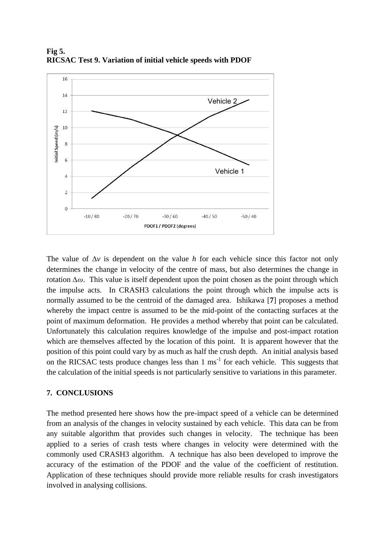

**Fig 5. RICSAC Test 9. Variation of initial vehicle speeds with PDOF**

The value of  $\Delta v$  is dependent on the value *h* for each vehicle since this factor not only determines the change in velocity of the centre of mass, but also determines the change in rotation *∆ω*. This value is itself dependent upon the point chosen as the point through which the impulse acts. In CRASH3 calculations the point through which the impulse acts is normally assumed to be the centroid of the damaged area. Ishikawa [**7**] proposes a method whereby the impact centre is assumed to be the mid-point of the contacting surfaces at the point of maximum deformation. He provides a method whereby that point can be calculated. Unfortunately this calculation requires knowledge of the impulse and post-impact rotation which are themselves affected by the location of this point. It is apparent however that the position of this point could vary by as much as half the crush depth. An initial analysis based on the RICSAC tests produce changes less than  $1 \text{ ms}^{-1}$  for each vehicle. This suggests that the calculation of the initial speeds is not particularly sensitive to variations in this parameter.

#### **7. CONCLUSIONS**

The method presented here shows how the pre-impact speed of a vehicle can be determined from an analysis of the changes in velocity sustained by each vehicle. This data can be from any suitable algorithm that provides such changes in velocity. The technique has been applied to a series of crash tests where changes in velocity were determined with the commonly used CRASH3 algorithm. A technique has also been developed to improve the accuracy of the estimation of the PDOF and the value of the coefficient of restitution. Application of these techniques should provide more reliable results for crash investigators involved in analysing collisions.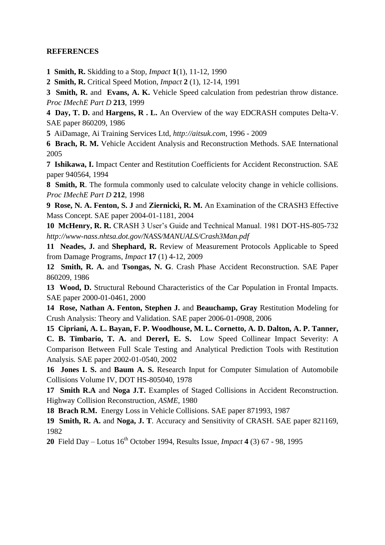### **REFERENCES**

**1 Smith, R.** Skidding to a Stop*, Impact* **1**(1), 11-12, 1990

**2 Smith, R.** Critical Speed Motion, *Impact* **2** (1), 12-14, 1991

**3 Smith, R.** and **Evans, A. K.** Vehicle Speed calculation from pedestrian throw distance. *Proc IMechE Part D* **213**, 1999

**4 Day, T. D.** and **Hargens, R . L.** An Overview of the way EDCRASH computes Delta-V. SAE paper 860209, 1986

**5** AiDamage, Ai Training Services Ltd, *http://aitsuk.com*, 1996 - 2009

**6 Brach, R. M.** Vehicle Accident Analysis and Reconstruction Methods. SAE International 2005

**7 Ishikawa, I.** Impact Center and Restitution Coefficients for Accident Reconstruction. SAE paper 940564, 1994

**8 Smith, R**. The formula commonly used to calculate velocity change in vehicle collisions. *Proc IMechE Part D* **212**, 1998

**9 Rose, N. A. Fenton, S. J** and **Ziernicki, R. M.** An Examination of the CRASH3 Effective Mass Concept. SAE paper 2004-01-1181, 2004

**10 McHenry, R. R.** CRASH 3 User's Guide and Technical Manual. 1981 DOT-HS-805-732 *http://www-nass.nhtsa.dot.gov/NASS/MANUALS/Crash3Man.pdf*

**11 Neades, J.** and **Shephard, R.** Review of Measurement Protocols Applicable to Speed from Damage Programs, *Impact* **17** (1) 4-12, 2009

**12 Smith, R. A.** and **Tsongas, N. G**. Crash Phase Accident Reconstruction. SAE Paper 860209, 1986

**13 Wood, D.** Structural Rebound Characteristics of the Car Population in Frontal Impacts. SAE paper 2000-01-0461, 2000

**14 Rose, Nathan A. Fenton, Stephen J.** and **Beauchamp, Gray** Restitution Modeling for Crush Analysis: Theory and Validation. SAE paper 2006-01-0908, 2006

**15 Cipriani, A. L. Bayan, F. P. Woodhouse, M. L. Cornetto, A. D. Dalton, A. P. Tanner, C. B. Timbario, T. A.** and **Dererl, E. S.** Low Speed Collinear Impact Severity: A Comparison Between Full Scale Testing and Analytical Prediction Tools with Restitution Analysis*.* SAE paper 2002-01-0540, 2002

**16 Jones I. S.** and **Baum A. S.** Research Input for Computer Simulation of Automobile Collisions Volume IV, DOT HS-805040, 1978

**17 Smith R.A** and **Noga J.T.** Examples of Staged Collisions in Accident Reconstruction. Highway Collision Reconstruction*, ASME,* 1980

**18 Brach R.M.** Energy Loss in Vehicle Collisions. SAE paper 871993, 1987

**19 Smith, R. A.** and **Noga, J. T**. Accuracy and Sensitivity of CRASH. SAE paper 821169, 1982

**20** Field Day – Lotus 16th October 1994, Results Issue*, Impact* **4** (3) 67 - 98, 1995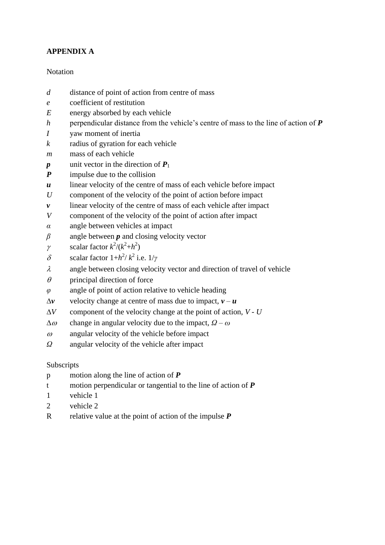# **APPENDIX A**

### **Notation**

- *d* distance of point of action from centre of mass
- *e* coefficient of restitution
- *E* energy absorbed by each vehicle
- *h* perpendicular distance from the vehicle's centre of mass to the line of action of *P*
- *I* yaw moment of inertia
- *k* radius of gyration for each vehicle
- *m* mass of each vehicle
- $p$  unit vector in the direction of  $P_1$
- *P* impulse due to the collision
- *u* linear velocity of the centre of mass of each vehicle before impact
- *U* component of the velocity of the point of action before impact
- *v* linear velocity of the centre of mass of each vehicle after impact
- *V* component of the velocity of the point of action after impact
- *α* angle between vehicles at impact
- *β* angle between *p* and closing velocity vector
- $\gamma$  scalar factor  $k^2/(k^2+h^2)$
- $δ$  scalar factor  $1+h^2/k^2$  i.e.  $1/\gamma$
- $\lambda$  angle between closing velocity vector and direction of travel of vehicle
- $\theta$  principal direction of force
- *φ* angle of point of action relative to vehicle heading
- $\Delta$ *v* velocity change at centre of mass due to impact,  $v u$
- $\Delta V$  component of the velocity change at the point of action,  $V U$
- $\Delta \omega$  change in angular velocity due to the impact,  $\Omega \omega$
- $\omega$  angular velocity of the vehicle before impact
- *Ω* angular velocity of the vehicle after impact

### Subscripts

- p motion along the line of action of *P*
- t motion perpendicular or tangential to the line of action of *P*
- 1 vehicle 1
- 2 vehicle 2
- R relative value at the point of action of the impulse *P*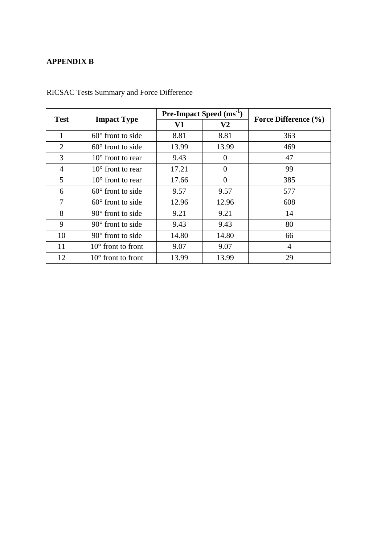# **APPENDIX B**

| Test                        |                             | <b>Pre-Impact Speed</b> $(ms^{-1})$ |                | Force Difference (%) |  |
|-----------------------------|-----------------------------|-------------------------------------|----------------|----------------------|--|
|                             | <b>Impact Type</b>          | V1                                  | V <sub>2</sub> |                      |  |
| 1                           | $60^{\circ}$ front to side  | 8.81                                | 8.81           | 363                  |  |
| $\mathcal{D}_{\mathcal{L}}$ | $60^{\circ}$ front to side  | 13.99                               | 13.99          | 469                  |  |
| 3                           | $10^{\circ}$ front to rear  | 9.43                                | $\theta$       | 47                   |  |
| 4                           | $10^{\circ}$ front to rear  | 17.21                               | $\Omega$       | 99                   |  |
| 5                           | $10^{\circ}$ front to rear  | 17.66                               | $\Omega$       | 385                  |  |
| 6                           | $60^{\circ}$ front to side  | 9.57                                | 9.57           | 577                  |  |
| 7                           | $60^{\circ}$ front to side  | 12.96                               | 12.96          | 608                  |  |
| 8                           | $90^{\circ}$ front to side  | 9.21                                | 9.21           | 14                   |  |
| 9                           | $90^\circ$ front to side    | 9.43                                | 9.43           | 80                   |  |
| 10                          | $90^{\circ}$ front to side  | 14.80                               | 14.80          | 66                   |  |
| 11                          | $10^{\circ}$ front to front | 9.07                                | 9.07           | $\overline{4}$       |  |
| 12                          | $10^{\circ}$ front to front | 13.99                               | 13.99          | 29                   |  |

RICSAC Tests Summary and Force Difference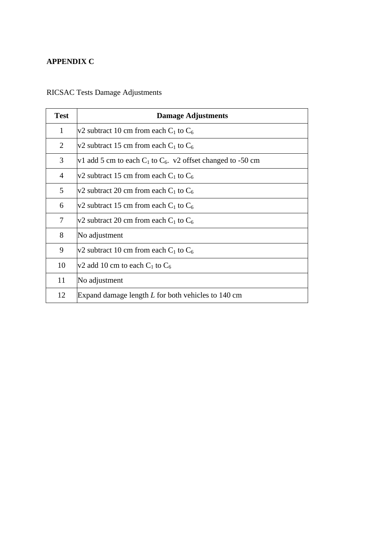# **APPENDIX C**

# RICSAC Tests Damage Adjustments

| <b>Test</b>    | <b>Damage Adjustments</b>                                        |  |  |  |  |
|----------------|------------------------------------------------------------------|--|--|--|--|
| $\mathbf{1}$   | v2 subtract 10 cm from each $C_1$ to $C_6$                       |  |  |  |  |
| 2              | $v2$ subtract 15 cm from each C <sub>1</sub> to C <sub>6</sub>   |  |  |  |  |
| 3              | v1 add 5 cm to each $C_1$ to $C_6$ . v2 offset changed to -50 cm |  |  |  |  |
| 4              | $v2$ subtract 15 cm from each C <sub>1</sub> to C <sub>6</sub>   |  |  |  |  |
| 5              | $v2$ subtract 20 cm from each C <sub>1</sub> to C <sub>6</sub>   |  |  |  |  |
| 6              | $v2$ subtract 15 cm from each C <sub>1</sub> to C <sub>6</sub>   |  |  |  |  |
| $\overline{7}$ | v2 subtract 20 cm from each $C_1$ to $C_6$                       |  |  |  |  |
| 8              | No adjustment                                                    |  |  |  |  |
| 9              | v2 subtract 10 cm from each $C_1$ to $C_6$                       |  |  |  |  |
| 10             | v2 add 10 cm to each $C_1$ to $C_6$                              |  |  |  |  |
| 11             | No adjustment                                                    |  |  |  |  |
| 12             | Expand damage length $L$ for both vehicles to 140 cm             |  |  |  |  |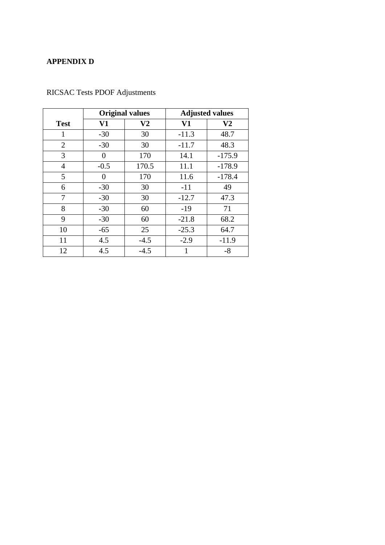# **APPENDIX D**

|                | <b>Original values</b> |          | <b>Adjusted values</b> |                |  |
|----------------|------------------------|----------|------------------------|----------------|--|
| <b>Test</b>    | V1                     | $\bf V2$ | V1                     | V <sub>2</sub> |  |
| 1              | $-30$                  | 30       | $-11.3$                | 48.7           |  |
| $\overline{2}$ | $-30$                  | 30       | $-11.7$                | 48.3           |  |
| 3              | 0                      | 170      | 14.1                   | $-175.9$       |  |
| 4              | $-0.5$                 | 170.5    | 11.1                   | $-178.9$       |  |
| 5              | $\Omega$               | 170      | 11.6                   | $-178.4$       |  |
| 6              | $-30$                  | 30       | $-11$                  | 49             |  |
| 7              | $-30$                  | 30       | $-12.7$                | 47.3           |  |
| 8              | $-30$                  | 60       | $-19$                  | 71             |  |
| 9              | $-30$                  | 60       | $-21.8$                | 68.2           |  |
| 10             | $-65$                  | 25       | $-25.3$                | 64.7           |  |
| 11             | 4.5                    | $-4.5$   | $-2.9$                 | $-11.9$        |  |
| 12             | 4.5                    | $-4.5$   | 1                      | $-8$           |  |

RICSAC Tests PDOF Adjustments